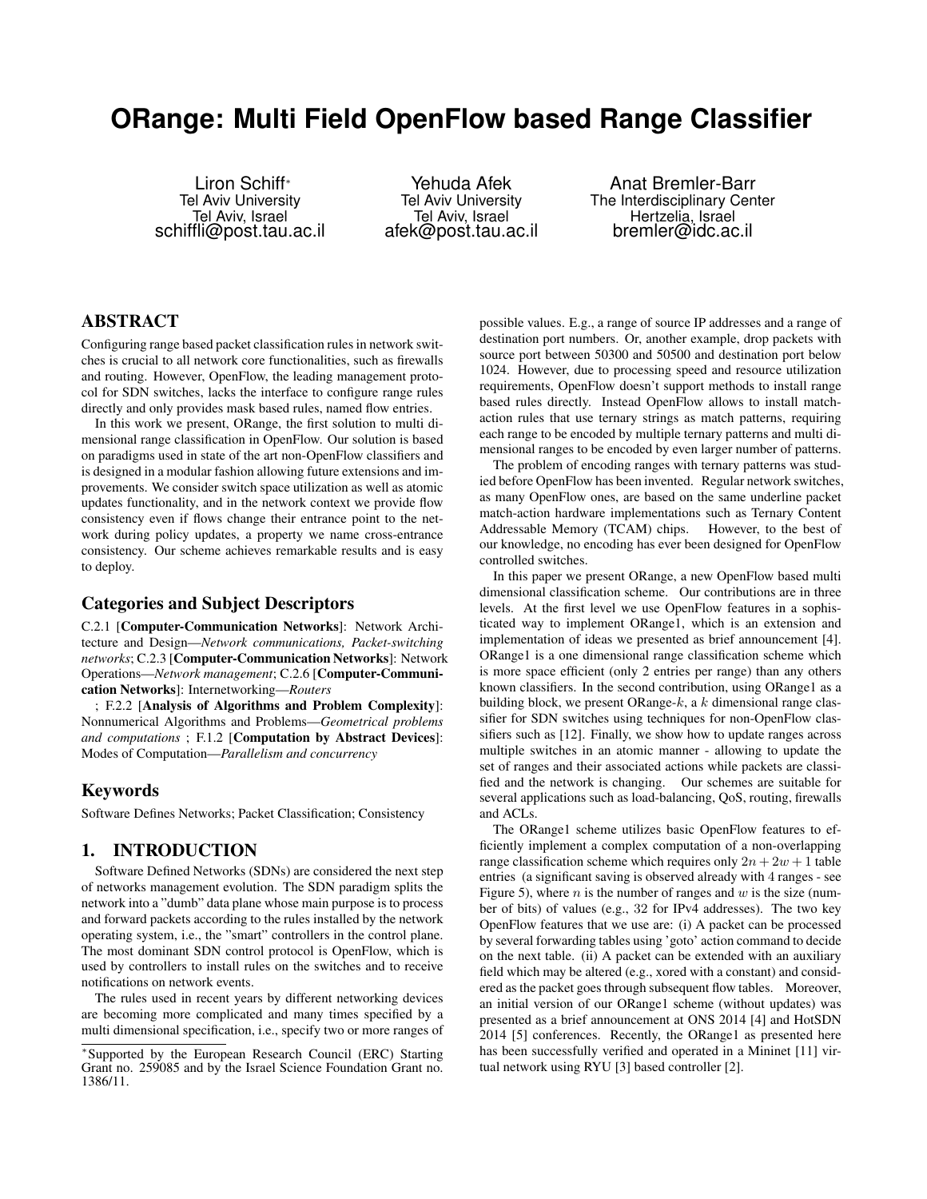# **ORange: Multi Field OpenFlow based Range Classifier**

Liron Schiff<sup>∗</sup> Tel Aviv University Tel Aviv, Israel schiffli@post.tau.ac.il

Yehuda Afek Tel Aviv University Tel Aviv, Israel afek@post.tau.ac.il

Anat Bremler-Barr The Interdisciplinary Center Hertzelia, Israel bremler@idc.ac.il

### ABSTRACT

Configuring range based packet classification rules in network switches is crucial to all network core functionalities, such as firewalls and routing. However, OpenFlow, the leading management protocol for SDN switches, lacks the interface to configure range rules directly and only provides mask based rules, named flow entries.

In this work we present, ORange, the first solution to multi dimensional range classification in OpenFlow. Our solution is based on paradigms used in state of the art non-OpenFlow classifiers and is designed in a modular fashion allowing future extensions and improvements. We consider switch space utilization as well as atomic updates functionality, and in the network context we provide flow consistency even if flows change their entrance point to the network during policy updates, a property we name cross-entrance consistency. Our scheme achieves remarkable results and is easy to deploy.

### Categories and Subject Descriptors

C.2.1 [Computer-Communication Networks]: Network Architecture and Design—*Network communications, Packet-switching networks*; C.2.3 [Computer-Communication Networks]: Network Operations—*Network management*; C.2.6 [Computer-Communication Networks]: Internetworking—*Routers*

; F.2.2 [Analysis of Algorithms and Problem Complexity]: Nonnumerical Algorithms and Problems—*Geometrical problems and computations* ; F.1.2 [Computation by Abstract Devices]: Modes of Computation—*Parallelism and concurrency*

### Keywords

Software Defines Networks; Packet Classification; Consistency

### 1. INTRODUCTION

Software Defined Networks (SDNs) are considered the next step of networks management evolution. The SDN paradigm splits the network into a "dumb" data plane whose main purpose is to process and forward packets according to the rules installed by the network operating system, i.e., the "smart" controllers in the control plane. The most dominant SDN control protocol is OpenFlow, which is used by controllers to install rules on the switches and to receive notifications on network events.

The rules used in recent years by different networking devices are becoming more complicated and many times specified by a multi dimensional specification, i.e., specify two or more ranges of

possible values. E.g., a range of source IP addresses and a range of destination port numbers. Or, another example, drop packets with source port between 50300 and 50500 and destination port below 1024. However, due to processing speed and resource utilization requirements, OpenFlow doesn't support methods to install range based rules directly. Instead OpenFlow allows to install matchaction rules that use ternary strings as match patterns, requiring each range to be encoded by multiple ternary patterns and multi dimensional ranges to be encoded by even larger number of patterns.

The problem of encoding ranges with ternary patterns was studied before OpenFlow has been invented. Regular network switches, as many OpenFlow ones, are based on the same underline packet match-action hardware implementations such as Ternary Content Addressable Memory (TCAM) chips. However, to the best of our knowledge, no encoding has ever been designed for OpenFlow controlled switches.

In this paper we present ORange, a new OpenFlow based multi dimensional classification scheme. Our contributions are in three levels. At the first level we use OpenFlow features in a sophisticated way to implement ORange1, which is an extension and implementation of ideas we presented as brief announcement [4]. ORange1 is a one dimensional range classification scheme which is more space efficient (only 2 entries per range) than any others known classifiers. In the second contribution, using ORange1 as a building block, we present ORange- $k$ , a k dimensional range classifier for SDN switches using techniques for non-OpenFlow classifiers such as [12]. Finally, we show how to update ranges across multiple switches in an atomic manner - allowing to update the set of ranges and their associated actions while packets are classified and the network is changing. Our schemes are suitable for several applications such as load-balancing, QoS, routing, firewalls and ACLs.

The ORange1 scheme utilizes basic OpenFlow features to efficiently implement a complex computation of a non-overlapping range classification scheme which requires only  $2n + 2w + 1$  table entries (a significant saving is observed already with 4 ranges - see Figure 5), where *n* is the number of ranges and  $w$  is the size (number of bits) of values (e.g., 32 for IPv4 addresses). The two key OpenFlow features that we use are: (i) A packet can be processed by several forwarding tables using 'goto' action command to decide on the next table. (ii) A packet can be extended with an auxiliary field which may be altered (e.g., xored with a constant) and considered as the packet goes through subsequent flow tables. Moreover, an initial version of our ORange1 scheme (without updates) was presented as a brief announcement at ONS 2014 [4] and HotSDN 2014 [5] conferences. Recently, the ORange1 as presented here has been successfully verified and operated in a Mininet [11] virtual network using RYU [3] based controller [2].

<sup>∗</sup> Supported by the European Research Council (ERC) Starting Grant no. 259085 and by the Israel Science Foundation Grant no. 1386/11.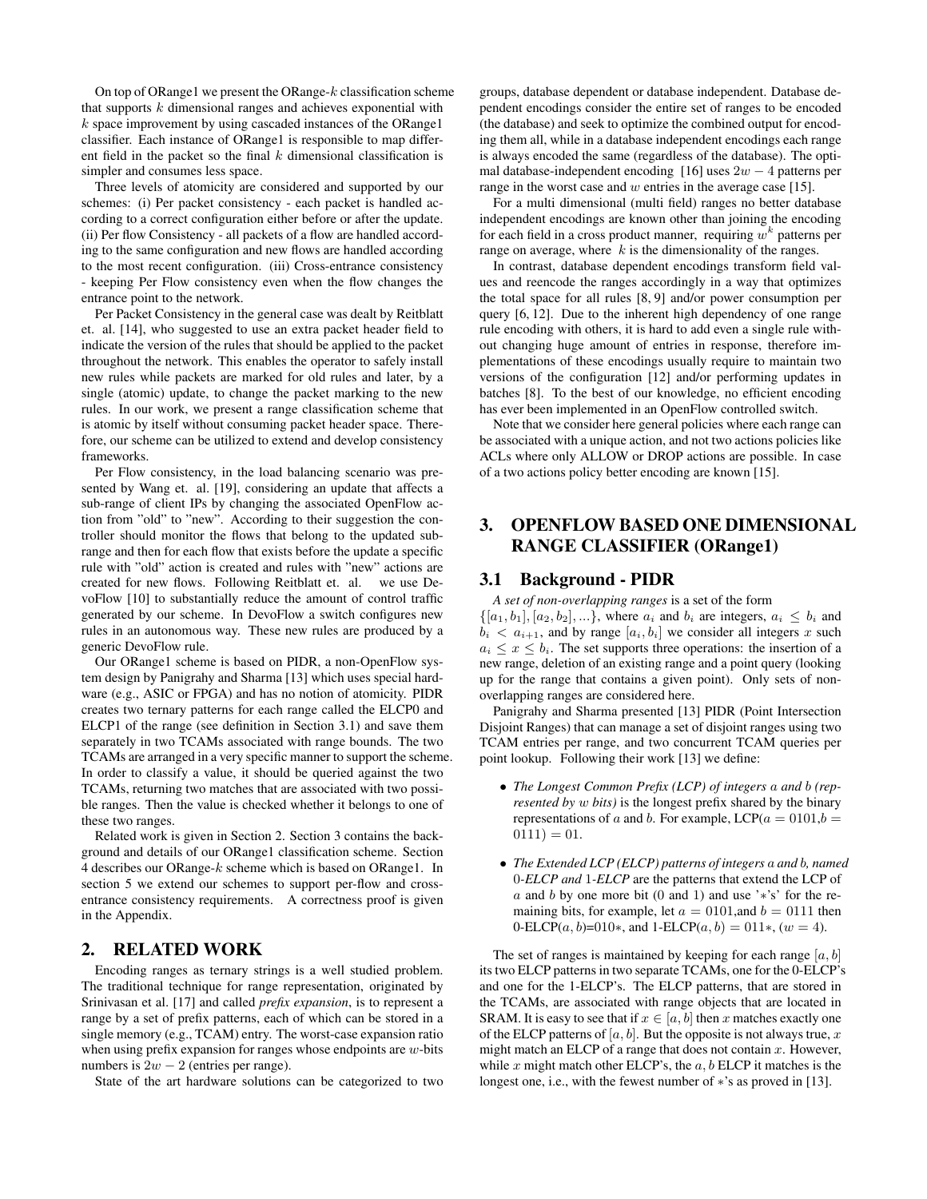On top of ORange1 we present the ORange- $k$  classification scheme that supports  $k$  dimensional ranges and achieves exponential with  $k$  space improvement by using cascaded instances of the ORange1 classifier. Each instance of ORange1 is responsible to map different field in the packet so the final  $k$  dimensional classification is simpler and consumes less space.

Three levels of atomicity are considered and supported by our schemes: (i) Per packet consistency - each packet is handled according to a correct configuration either before or after the update. (ii) Per flow Consistency - all packets of a flow are handled according to the same configuration and new flows are handled according to the most recent configuration. (iii) Cross-entrance consistency - keeping Per Flow consistency even when the flow changes the entrance point to the network.

Per Packet Consistency in the general case was dealt by Reitblatt et. al. [14], who suggested to use an extra packet header field to indicate the version of the rules that should be applied to the packet throughout the network. This enables the operator to safely install new rules while packets are marked for old rules and later, by a single (atomic) update, to change the packet marking to the new rules. In our work, we present a range classification scheme that is atomic by itself without consuming packet header space. Therefore, our scheme can be utilized to extend and develop consistency frameworks.

Per Flow consistency, in the load balancing scenario was presented by Wang et. al. [19], considering an update that affects a sub-range of client IPs by changing the associated OpenFlow action from "old" to "new". According to their suggestion the controller should monitor the flows that belong to the updated subrange and then for each flow that exists before the update a specific rule with "old" action is created and rules with "new" actions are created for new flows. Following Reitblatt et. al. we use DevoFlow [10] to substantially reduce the amount of control traffic generated by our scheme. In DevoFlow a switch configures new rules in an autonomous way. These new rules are produced by a generic DevoFlow rule.

Our ORange1 scheme is based on PIDR, a non-OpenFlow system design by Panigrahy and Sharma [13] which uses special hardware (e.g., ASIC or FPGA) and has no notion of atomicity. PIDR creates two ternary patterns for each range called the ELCP0 and ELCP1 of the range (see definition in Section 3.1) and save them separately in two TCAMs associated with range bounds. The two TCAMs are arranged in a very specific manner to support the scheme. In order to classify a value, it should be queried against the two TCAMs, returning two matches that are associated with two possible ranges. Then the value is checked whether it belongs to one of these two ranges.

Related work is given in Section 2. Section 3 contains the background and details of our ORange1 classification scheme. Section 4 describes our ORange- $k$  scheme which is based on ORange1. In section 5 we extend our schemes to support per-flow and crossentrance consistency requirements. A correctness proof is given in the Appendix.

### 2. RELATED WORK

Encoding ranges as ternary strings is a well studied problem. The traditional technique for range representation, originated by Srinivasan et al. [17] and called *prefix expansion*, is to represent a range by a set of prefix patterns, each of which can be stored in a single memory (e.g., TCAM) entry. The worst-case expansion ratio when using prefix expansion for ranges whose endpoints are  $w$ -bits numbers is  $2w - 2$  (entries per range).

State of the art hardware solutions can be categorized to two

groups, database dependent or database independent. Database dependent encodings consider the entire set of ranges to be encoded (the database) and seek to optimize the combined output for encoding them all, while in a database independent encodings each range is always encoded the same (regardless of the database). The optimal database-independent encoding [16] uses  $2w - 4$  patterns per range in the worst case and  $w$  entries in the average case [15].

For a multi dimensional (multi field) ranges no better database independent encodings are known other than joining the encoding for each field in a cross product manner, requiring  $w^k$  patterns per range on average, where  $k$  is the dimensionality of the ranges.

In contrast, database dependent encodings transform field values and reencode the ranges accordingly in a way that optimizes the total space for all rules [8, 9] and/or power consumption per query [6, 12]. Due to the inherent high dependency of one range rule encoding with others, it is hard to add even a single rule without changing huge amount of entries in response, therefore implementations of these encodings usually require to maintain two versions of the configuration [12] and/or performing updates in batches [8]. To the best of our knowledge, no efficient encoding has ever been implemented in an OpenFlow controlled switch.

Note that we consider here general policies where each range can be associated with a unique action, and not two actions policies like ACLs where only ALLOW or DROP actions are possible. In case of a two actions policy better encoding are known [15].

# 3. OPENFLOW BASED ONE DIMENSIONAL RANGE CLASSIFIER (ORange1)

#### 3.1 Background - PIDR

*A set of non-overlapping ranges* is a set of the form

 $\{[a_1, b_1], [a_2, b_2], ...\}$ , where  $a_i$  and  $b_i$  are integers,  $a_i \leq b_i$  and  $b_i < a_{i+1}$ , and by range  $[a_i, b_i]$  we consider all integers x such  $a_i \leq x \leq b_i$ . The set supports three operations: the insertion of a new range, deletion of an existing range and a point query (looking up for the range that contains a given point). Only sets of nonoverlapping ranges are considered here.

Panigrahy and Sharma presented [13] PIDR (Point Intersection Disjoint Ranges) that can manage a set of disjoint ranges using two TCAM entries per range, and two concurrent TCAM queries per point lookup. Following their work [13] we define:

- *The Longest Common Prefix (LCP) of integers* a *and* b *(represented by* w *bits)* is the longest prefix shared by the binary representations of a and b. For example, LCP( $a = 0101$ , $b =$  $0111) = 01.$
- *The Extended LCP (ELCP) patterns of integers* a *and* b*, named* 0*-ELCP and* 1*-ELCP* are the patterns that extend the LCP of a and b by one more bit (0 and 1) and use ' $*$ 's' for the remaining bits, for example, let  $a = 0101$ , and  $b = 0111$  then 0-ELCP(a, b)=010∗, and 1-ELCP(a, b) = 011∗, (w = 4).

The set of ranges is maintained by keeping for each range  $[a, b]$ its two ELCP patterns in two separate TCAMs, one for the 0-ELCP's and one for the 1-ELCP's. The ELCP patterns, that are stored in the TCAMs, are associated with range objects that are located in SRAM. It is easy to see that if  $x \in [a, b]$  then x matches exactly one of the ELCP patterns of  $[a, b]$ . But the opposite is not always true, x might match an ELCP of a range that does not contain  $x$ . However, while  $x$  might match other ELCP's, the  $a, b$  ELCP it matches is the longest one, i.e., with the fewest number of ∗'s as proved in [13].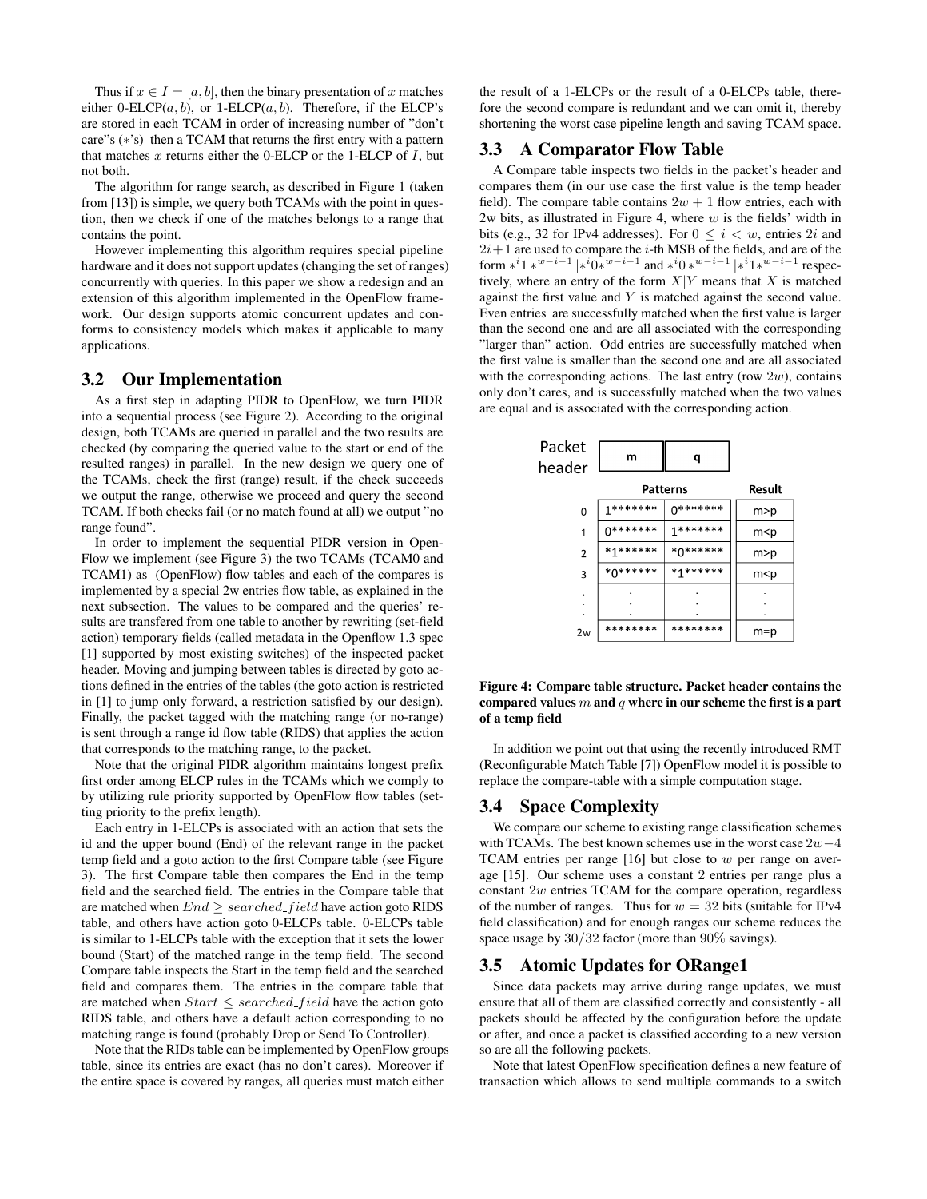Thus if  $x \in I = [a, b]$ , then the binary presentation of x matches either 0-ELCP $(a, b)$ , or 1-ELCP $(a, b)$ . Therefore, if the ELCP's are stored in each TCAM in order of increasing number of "don't care"s (∗'s) then a TCAM that returns the first entry with a pattern that matches  $x$  returns either the 0-ELCP or the 1-ELCP of  $I$ , but not both.

The algorithm for range search, as described in Figure 1 (taken from [13]) is simple, we query both TCAMs with the point in question, then we check if one of the matches belongs to a range that contains the point.

However implementing this algorithm requires special pipeline hardware and it does not support updates (changing the set of ranges) concurrently with queries. In this paper we show a redesign and an extension of this algorithm implemented in the OpenFlow framework. Our design supports atomic concurrent updates and conforms to consistency models which makes it applicable to many applications.

#### 3.2 Our Implementation

As a first step in adapting PIDR to OpenFlow, we turn PIDR into a sequential process (see Figure 2). According to the original design, both TCAMs are queried in parallel and the two results are checked (by comparing the queried value to the start or end of the resulted ranges) in parallel. In the new design we query one of the TCAMs, check the first (range) result, if the check succeeds we output the range, otherwise we proceed and query the second TCAM. If both checks fail (or no match found at all) we output "no range found".

In order to implement the sequential PIDR version in Open-Flow we implement (see Figure 3) the two TCAMs (TCAM0 and TCAM1) as (OpenFlow) flow tables and each of the compares is implemented by a special 2w entries flow table, as explained in the next subsection. The values to be compared and the queries' results are transfered from one table to another by rewriting (set-field action) temporary fields (called metadata in the Openflow 1.3 spec [1] supported by most existing switches) of the inspected packet header. Moving and jumping between tables is directed by goto actions defined in the entries of the tables (the goto action is restricted in [1] to jump only forward, a restriction satisfied by our design). Finally, the packet tagged with the matching range (or no-range) is sent through a range id flow table (RIDS) that applies the action that corresponds to the matching range, to the packet.

Note that the original PIDR algorithm maintains longest prefix first order among ELCP rules in the TCAMs which we comply to by utilizing rule priority supported by OpenFlow flow tables (setting priority to the prefix length).

Each entry in 1-ELCPs is associated with an action that sets the id and the upper bound (End) of the relevant range in the packet temp field and a goto action to the first Compare table (see Figure 3). The first Compare table then compares the End in the temp field and the searched field. The entries in the Compare table that are matched when  $End \geq searched\_field$  have action goto RIDS table, and others have action goto 0-ELCPs table. 0-ELCPs table is similar to 1-ELCPs table with the exception that it sets the lower bound (Start) of the matched range in the temp field. The second Compare table inspects the Start in the temp field and the searched field and compares them. The entries in the compare table that are matched when  $Start \leq searched\_field$  have the action goto RIDS table, and others have a default action corresponding to no matching range is found (probably Drop or Send To Controller).

Note that the RIDs table can be implemented by OpenFlow groups table, since its entries are exact (has no don't cares). Moreover if the entire space is covered by ranges, all queries must match either

the result of a 1-ELCPs or the result of a 0-ELCPs table, therefore the second compare is redundant and we can omit it, thereby shortening the worst case pipeline length and saving TCAM space.

### 3.3 A Comparator Flow Table

A Compare table inspects two fields in the packet's header and compares them (in our use case the first value is the temp header field). The compare table contains  $2w + 1$  flow entries, each with 2w bits, as illustrated in Figure 4, where  $w$  is the fields' width in bits (e.g., 32 for IPv4 addresses). For  $0 \le i < w$ , entries 2i and  $2i+1$  are used to compare the *i*-th MSB of the fields, and are of the form  $*^i 1 *^{w-i-1} | *^i 0 *^{w-i-1}$  and  $*^i 0 *^{w-i-1} | *^i 1 *^{w-i-1}$  respectively, where an entry of the form  $X|Y$  means that X is matched against the first value and Y is matched against the second value. Even entries are successfully matched when the first value is larger than the second one and are all associated with the corresponding "larger than" action. Odd entries are successfully matched when the first value is smaller than the second one and are all associated with the corresponding actions. The last entry (row  $2w$ ), contains only don't cares, and is successfully matched when the two values are equal and is associated with the corresponding action.



Figure 4: Compare table structure. Packet header contains the compared values  $m$  and  $q$  where in our scheme the first is a part of a temp field

In addition we point out that using the recently introduced RMT (Reconfigurable Match Table [7]) OpenFlow model it is possible to replace the compare-table with a simple computation stage.

#### 3.4 Space Complexity

We compare our scheme to existing range classification schemes with TCAMs. The best known schemes use in the worst case  $2w-4$ TCAM entries per range  $[16]$  but close to w per range on average [15]. Our scheme uses a constant 2 entries per range plus a constant 2w entries TCAM for the compare operation, regardless of the number of ranges. Thus for  $w = 32$  bits (suitable for IPv4 field classification) and for enough ranges our scheme reduces the space usage by 30/32 factor (more than 90% savings).

### 3.5 Atomic Updates for ORange1

Since data packets may arrive during range updates, we must ensure that all of them are classified correctly and consistently - all packets should be affected by the configuration before the update or after, and once a packet is classified according to a new version so are all the following packets.

Note that latest OpenFlow specification defines a new feature of transaction which allows to send multiple commands to a switch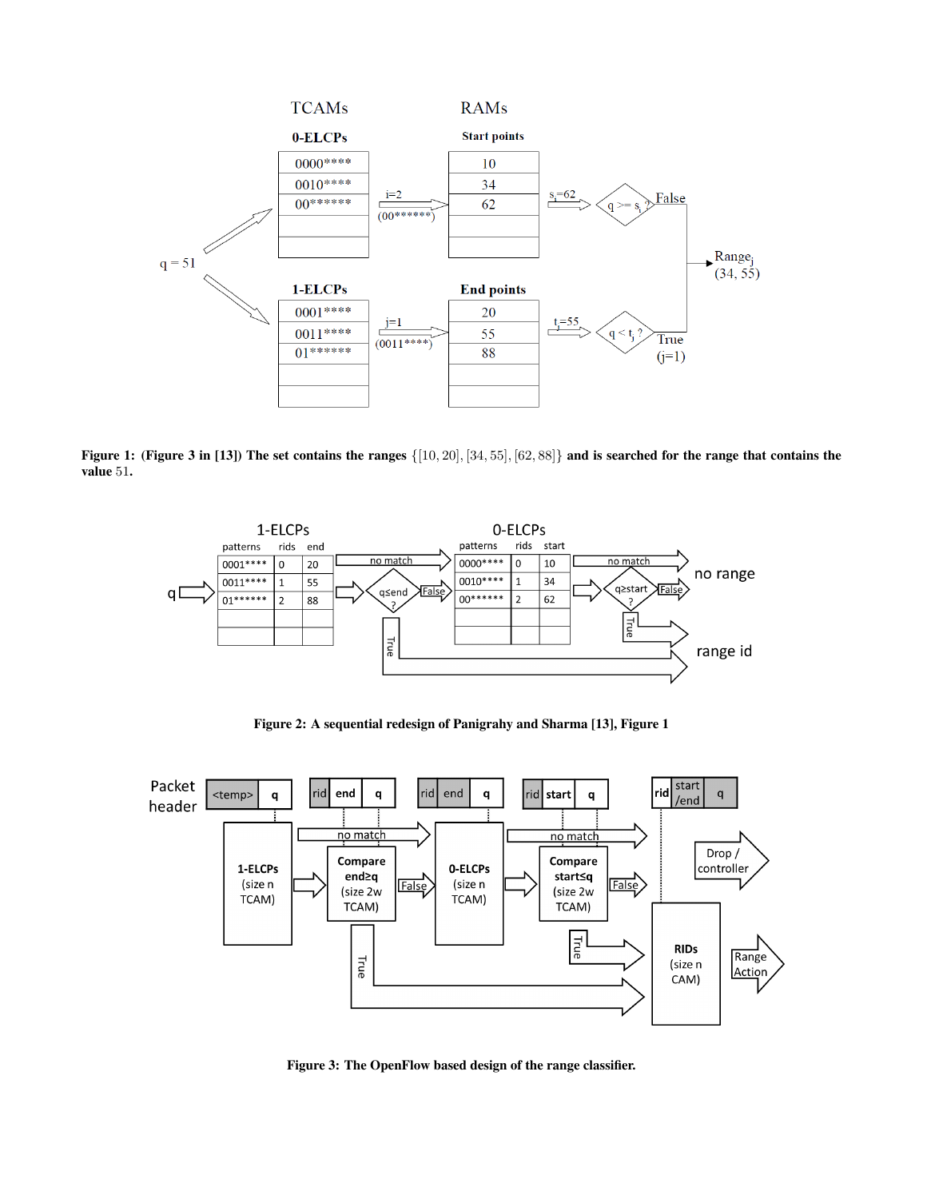

Figure 1: (Figure 3 in [13]) The set contains the ranges  $\{[10, 20], [34, 55], [62, 88]\}$  and is searched for the range that contains the value 51.



Figure 2: A sequential redesign of Panigrahy and Sharma [13], Figure 1



Figure 3: The OpenFlow based design of the range classifier.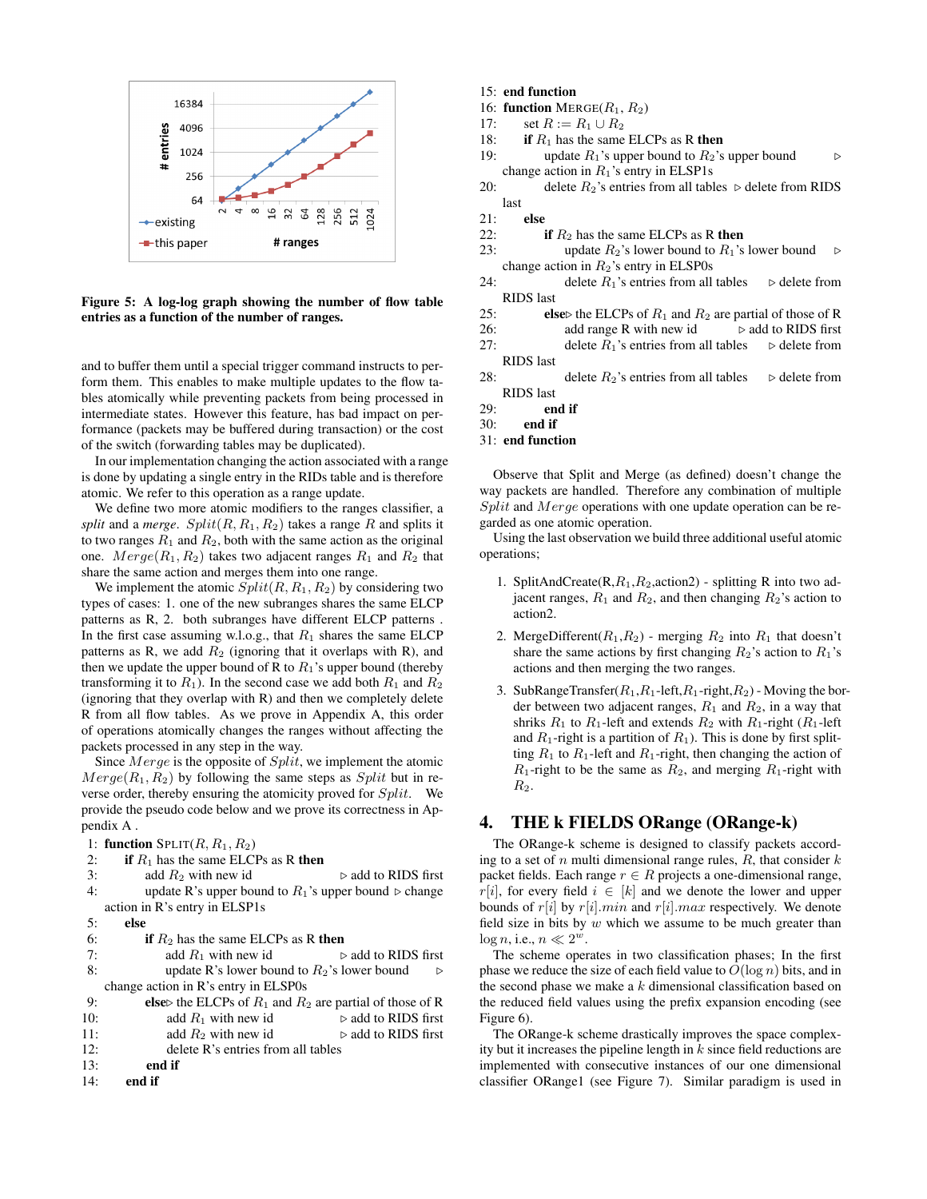

Figure 5: A log-log graph showing the number of flow table entries as a function of the number of ranges.

and to buffer them until a special trigger command instructs to perform them. This enables to make multiple updates to the flow tables atomically while preventing packets from being processed in intermediate states. However this feature, has bad impact on performance (packets may be buffered during transaction) or the cost of the switch (forwarding tables may be duplicated).

In our implementation changing the action associated with a range is done by updating a single entry in the RIDs table and is therefore atomic. We refer to this operation as a range update.

We define two more atomic modifiers to the ranges classifier, a *split* and a *merge.*  $Split(R, R_1, R_2)$  takes a range R and splits it to two ranges  $R_1$  and  $R_2$ , both with the same action as the original one.  $Merge(R_1, R_2)$  takes two adjacent ranges  $R_1$  and  $R_2$  that share the same action and merges them into one range.

We implement the atomic  $Split(R, R_1, R_2)$  by considering two types of cases: 1. one of the new subranges shares the same ELCP patterns as R, 2. both subranges have different ELCP patterns . In the first case assuming w.l.o.g., that  $R_1$  shares the same ELCP patterns as R, we add  $R_2$  (ignoring that it overlaps with R), and then we update the upper bound of R to  $R_1$ 's upper bound (thereby transforming it to  $R_1$ ). In the second case we add both  $R_1$  and  $R_2$ (ignoring that they overlap with R) and then we completely delete R from all flow tables. As we prove in Appendix A, this order of operations atomically changes the ranges without affecting the packets processed in any step in the way.

Since *Merge* is the opposite of *Split*, we implement the atomic  $Merge(R_1, R_2)$  by following the same steps as *Split* but in reverse order, thereby ensuring the atomicity proved for Split. We provide the pseudo code below and we prove its correctness in Appendix A .

1: function  $SPLIT(R, R_1, R_2)$ 

- 2: if  $R_1$  has the same ELCPs as R then
- 3: add  $R_2$  with new id  $\triangleright$  add to RIDS first 4: update R's upper bound to  $R_1$ 's upper bound  $\triangleright$  change action in R's entry in ELSP1s
- 5: else
- 6: if  $R_2$  has the same ELCPs as R then
- 7: add  $R_1$  with new id  $\triangleright$  add to RIDS first 8: update R's lower bound to  $R_2$ 's lower bound change action in R's entry in ELSP0s
- 9: else the ELCPs of  $R_1$  and  $R_2$  are partial of those of R 10: add  $R_1$  with new id  $\triangleright$  add to RIDS first 11: add  $R_2$  with new id  $\triangleright$  add to RIDS first 12: delete R's entries from all tables
- 13: end if
- 14: end if

#### 15: end function

- 16: function MERGE( $R_1, R_2$ )
- 17: set  $R := R_1 \cup R_2$
- 18: if  $R_1$  has the same ELCPs as R then
- 19: update  $R_1$ 's upper bound to  $R_2$ 's upper bound  $\triangleright$ change action in  $R_1$ 's entry in ELSP1s
- 20: delete  $R_2$ 's entries from all tables  $\triangleright$  delete from RIDS last
- 21: else
- 22: **if**  $R_2$  has the same ELCPs as R **then**<br>23: **undate**  $R_2$ 's lower bound to  $R_1$ 's
- update  $R_2$ 's lower bound to  $R_1$ 's lower bound  $\Rightarrow$ change action in  $R_2$ 's entry in ELSP0s
- 24: delete  $R_1$ 's entries from all tables  $\Rightarrow$  delete from RIDS last
- 25: else the ELCPs of  $R_1$  and  $R_2$  are partial of those of R
- 26: add range R with new id  $\triangleright$  add to RIDS first
- 27: delete  $R_1$ 's entries from all tables  $\Rightarrow$  delete from RIDS last
- 28: delete  $R_2$ 's entries from all tables  $\triangleright$  delete from RIDS last
- 29: end if
- 30: end if
- 31: end function

Observe that Split and Merge (as defined) doesn't change the way packets are handled. Therefore any combination of multiple  $Split$  and  $Merge$  operations with one update operation can be regarded as one atomic operation.

Using the last observation we build three additional useful atomic operations;

- 1. SplitAndCreate( $R$ , $R$ <sub>1</sub>, $R$ <sub>2</sub>,action2) splitting R into two adjacent ranges,  $R_1$  and  $R_2$ , and then changing  $R_2$ 's action to action2.
- 2. MergeDifferent $(R_1, R_2)$  merging  $R_2$  into  $R_1$  that doesn't share the same actions by first changing  $R_2$ 's action to  $R_1$ 's actions and then merging the two ranges.
- 3. SubRangeTransfer( $R_1, R_1$ -left, $R_1$ -right, $R_2$ ) Moving the border between two adjacent ranges,  $R_1$  and  $R_2$ , in a way that shriks  $R_1$  to  $R_1$ -left and extends  $R_2$  with  $R_1$ -right ( $R_1$ -left and  $R_1$ -right is a partition of  $R_1$ ). This is done by first splitting  $R_1$  to  $R_1$ -left and  $R_1$ -right, then changing the action of  $R_1$ -right to be the same as  $R_2$ , and merging  $R_1$ -right with  $R_2$ .

### 4. THE k FIELDS ORange (ORange-k)

The ORange-k scheme is designed to classify packets according to a set of  $n$  multi dimensional range rules,  $R$ , that consider  $k$ packet fields. Each range  $r \in R$  projects a one-dimensional range,  $r[i]$ , for every field  $i \in [k]$  and we denote the lower and upper bounds of  $r[i]$  by  $r[i]$ .*min* and  $r[i]$ .*max* respectively. We denote field size in bits by  $w$  which we assume to be much greater than  $\log n$ , i.e.,  $n \ll 2^w$ .

The scheme operates in two classification phases; In the first phase we reduce the size of each field value to  $O(\log n)$  bits, and in the second phase we make a  $k$  dimensional classification based on the reduced field values using the prefix expansion encoding (see Figure 6).

The ORange-k scheme drastically improves the space complexity but it increases the pipeline length in  $k$  since field reductions are implemented with consecutive instances of our one dimensional classifier ORange1 (see Figure 7). Similar paradigm is used in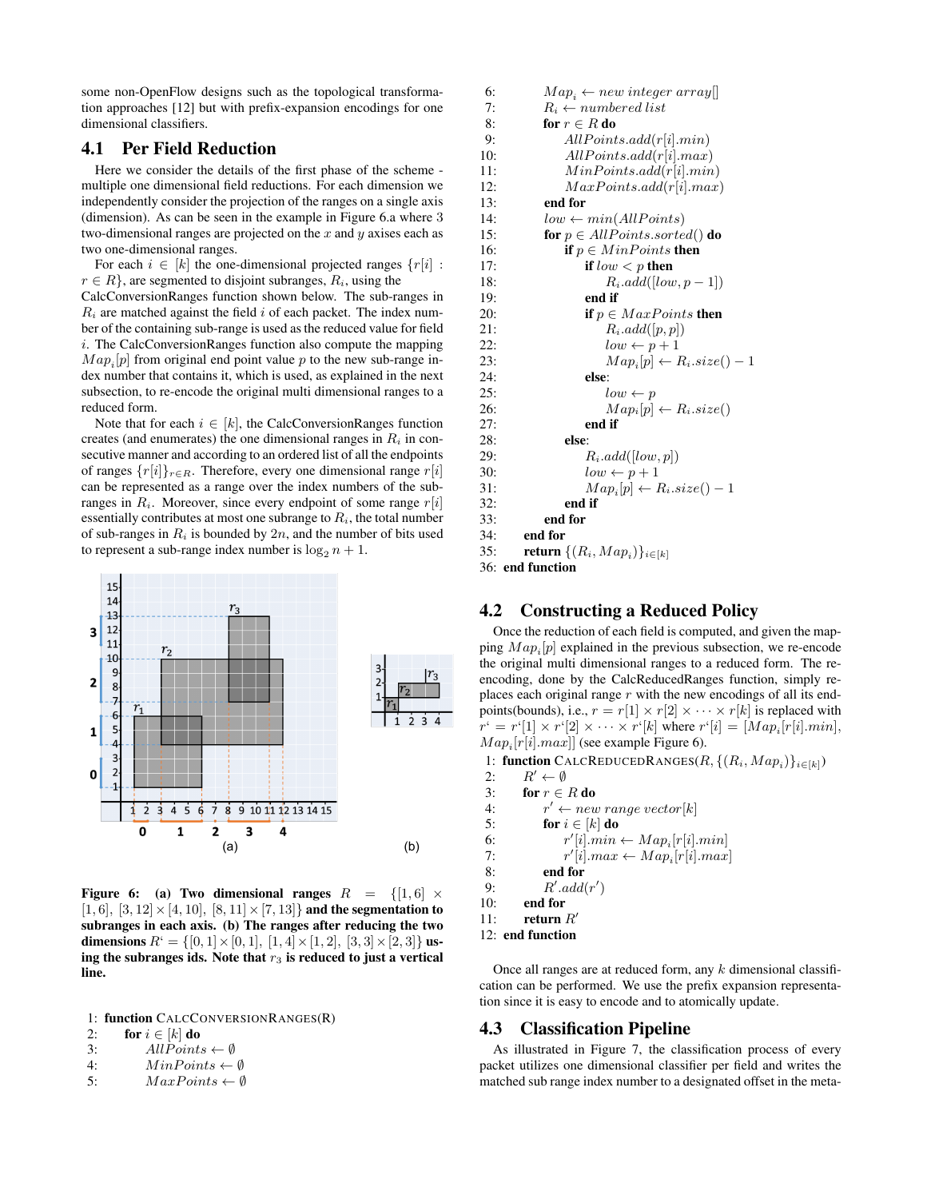some non-OpenFlow designs such as the topological transformation approaches [12] but with prefix-expansion encodings for one dimensional classifiers.

### 4.1 Per Field Reduction

Here we consider the details of the first phase of the scheme multiple one dimensional field reductions. For each dimension we independently consider the projection of the ranges on a single axis (dimension). As can be seen in the example in Figure 6.a where 3 two-dimensional ranges are projected on the  $x$  and  $y$  axises each as two one-dimensional ranges.

For each  $i \in [k]$  the one-dimensional projected ranges  $\{r[i] :$  $r \in R$ , are segmented to disjoint subranges,  $R_i$ , using the CalcConversionRanges function shown below. The sub-ranges in  $R_i$  are matched against the field i of each packet. The index number of the containing sub-range is used as the reduced value for field i. The CalcConversionRanges function also compute the mapping  $Map_i[p]$  from original end point value p to the new sub-range index number that contains it, which is used, as explained in the next subsection, to re-encode the original multi dimensional ranges to a reduced form.

Note that for each  $i \in [k]$ , the CalcConversionRanges function creates (and enumerates) the one dimensional ranges in  $R_i$  in consecutive manner and according to an ordered list of all the endpoints of ranges  $\{r[i]\}_{r \in R}$ . Therefore, every one dimensional range  $r[i]$ can be represented as a range over the index numbers of the subranges in  $R_i$ . Moreover, since every endpoint of some range  $r[i]$ essentially contributes at most one subrange to  $R_i$ , the total number of sub-ranges in  $R_i$  is bounded by  $2n$ , and the number of bits used to represent a sub-range index number is  $\log_2 n + 1$ .



Figure 6: (a) Two dimensional ranges  $R = \{ [1, 6] \times$  $[1, 6]$ ,  $[3, 12] \times [4, 10]$ ,  $[8, 11] \times [7, 13]$  and the segmentation to subranges in each axis. (b) The ranges after reducing the two dimensions  $R' = \{ [0, 1] \times [0, 1], [1, 4] \times [1, 2], [3, 3] \times [2, 3] \}$  using the subranges ids. Note that  $r_3$  is reduced to just a vertical line.

1: function CALCCONVERSIONRANGES(R)

2: for  $i \in [k]$  do

```
3: AllPoints \leftarrow \emptyset
```
4:  $MinPoints \leftarrow \emptyset$ 

5:  $MaxPoints \leftarrow \emptyset$ 

```
6: Map_i \leftarrow new integer array[]<br>7: R_i \leftarrow numbered list7: R_i \leftarrow numbered \; list<br>8: for r \in R do
          for r \in R do
 9: AllPoints.add(r[i].min)10: AllPoints.add(r[i].max)11: MinPoints.add(r[i].min)12: MaxPoints.add(r[i].max)13: end for
14: low \leftarrow min(All Points)15: for p \in All Points.sorted() do
16: if p \in MinPoints then<br>17: if low < p then
17: if low < p then<br>18: R_i.add( [low]18: R_i.add([low, p-1])<br>19: end if
19: end if 20: if n \inif p \in MaxPoints then
21: R_i.add([p, p])<br>
22: low \leftarrow p+122: low \leftarrow p + 1<br>23: Map:[p] \leftarrow P23: Map_i[p] \leftarrow R_i.size() - 124: else:
25: low \leftarrow p26: Map_i[p] \leftarrow R_i.size()<br>27: end if
                 end if
28: else:
29: R_i.add([low, p])30: low \leftarrow p + 131: Map_i[p] \leftarrow R_i.size() - 132: end if
33: end for
34: end for
35: return \{(R_i, Map_i)\}_{i \in [k]}
```
#### 36: end function

### 4.2 Constructing a Reduced Policy

Once the reduction of each field is computed, and given the mapping  $Map_i[p]$  explained in the previous subsection, we re-encode the original multi dimensional ranges to a reduced form. The reencoding, done by the CalcReducedRanges function, simply replaces each original range  $r$  with the new encodings of all its endpoints(bounds), i.e.,  $r = r[1] \times r[2] \times \cdots \times r[k]$  is replaced with  $r' = r'[1] \times r'[2] \times \cdots \times r'[k]$  where  $r'[i] = [Map_i[r[i].min],$  $Map_i[r[i].max]]$  (see example Figure 6).

- 1: function CALCREDUCEDRANGES $(R, \{(R_i, Map_i)\}_{i \in [k]})$
- 2:  $R' \leftarrow \emptyset$
- 3: for  $r \in R$  do
- $4:$  $r' \leftarrow new range vector[k]$
- 5: for  $i \in [k]$  do
- 6:  $r$  $^{\prime}[i] . min \leftarrow Map_i[r[i] . min]$
- $7:$  $'\left[i\right]$ .max  $\leftarrow Map_i\left[r[i]$ .max
- 8: end for
- 9:  $R' \cdot add(r')$
- 10: end for
- 11: return  $R'$
- 12: end function

Once all ranges are at reduced form, any k dimensional classification can be performed. We use the prefix expansion representation since it is easy to encode and to atomically update.

#### 4.3 Classification Pipeline

As illustrated in Figure 7, the classification process of every packet utilizes one dimensional classifier per field and writes the matched sub range index number to a designated offset in the meta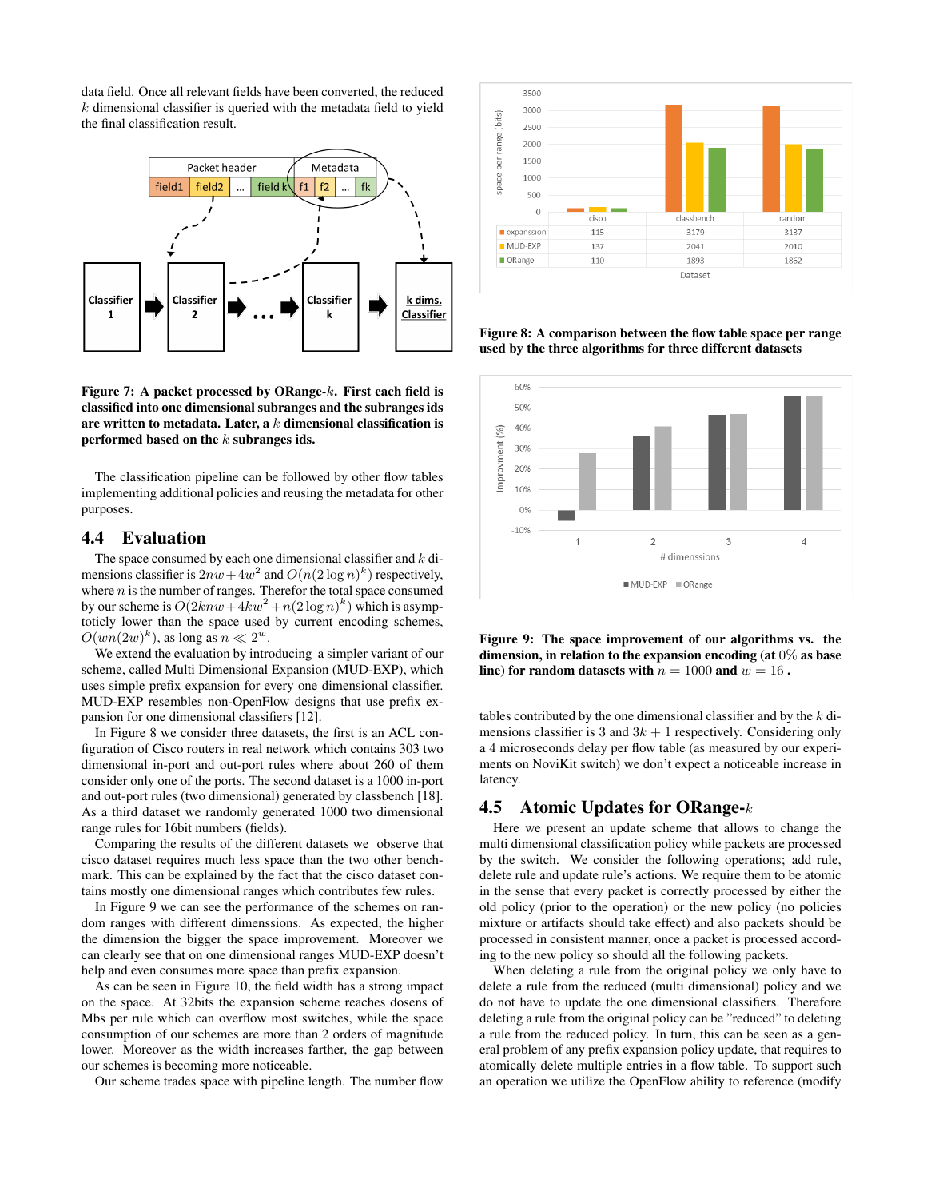data field. Once all relevant fields have been converted, the reduced  $k$  dimensional classifier is queried with the metadata field to yield the final classification result.



Figure 7: A packet processed by ORange-k. First each field is classified into one dimensional subranges and the subranges ids are written to metadata. Later, a  $k$  dimensional classification is performed based on the  $k$  subranges ids.

The classification pipeline can be followed by other flow tables implementing additional policies and reusing the metadata for other purposes.

### 4.4 Evaluation

The space consumed by each one dimensional classifier and  $k$  dimensions classifier is  $2nw+4w^2$  and  $O(n(2\log n)^k)$  respectively, where  $n$  is the number of ranges. Therefor the total space consumed by our scheme is  $O(2knw+4kw^2+n(2\log n)^k)$  which is asymptoticly lower than the space used by current encoding schemes,  $O(wn(2w)^k)$ , as long as  $n \ll 2^w$ .

We extend the evaluation by introducing a simpler variant of our scheme, called Multi Dimensional Expansion (MUD-EXP), which uses simple prefix expansion for every one dimensional classifier. MUD-EXP resembles non-OpenFlow designs that use prefix expansion for one dimensional classifiers [12].

In Figure 8 we consider three datasets, the first is an ACL configuration of Cisco routers in real network which contains 303 two dimensional in-port and out-port rules where about 260 of them consider only one of the ports. The second dataset is a 1000 in-port and out-port rules (two dimensional) generated by classbench [18]. As a third dataset we randomly generated 1000 two dimensional range rules for 16bit numbers (fields).

Comparing the results of the different datasets we observe that cisco dataset requires much less space than the two other benchmark. This can be explained by the fact that the cisco dataset contains mostly one dimensional ranges which contributes few rules.

In Figure 9 we can see the performance of the schemes on random ranges with different dimenssions. As expected, the higher the dimension the bigger the space improvement. Moreover we can clearly see that on one dimensional ranges MUD-EXP doesn't help and even consumes more space than prefix expansion.

As can be seen in Figure 10, the field width has a strong impact on the space. At 32bits the expansion scheme reaches dosens of Mbs per rule which can overflow most switches, while the space consumption of our schemes are more than 2 orders of magnitude lower. Moreover as the width increases farther, the gap between our schemes is becoming more noticeable.

Our scheme trades space with pipeline length. The number flow



Figure 8: A comparison between the flow table space per range used by the three algorithms for three different datasets



Figure 9: The space improvement of our algorithms vs. the dimension, in relation to the expansion encoding (at  $0\%$  as base line) for random datasets with  $n = 1000$  and  $w = 16$ .

tables contributed by the one dimensional classifier and by the  $k$  dimensions classifier is 3 and  $3k + 1$  respectively. Considering only a 4 microseconds delay per flow table (as measured by our experiments on NoviKit switch) we don't expect a noticeable increase in latency.

### 4.5 Atomic Updates for ORange- $k$

Here we present an update scheme that allows to change the multi dimensional classification policy while packets are processed by the switch. We consider the following operations; add rule, delete rule and update rule's actions. We require them to be atomic in the sense that every packet is correctly processed by either the old policy (prior to the operation) or the new policy (no policies mixture or artifacts should take effect) and also packets should be processed in consistent manner, once a packet is processed according to the new policy so should all the following packets.

When deleting a rule from the original policy we only have to delete a rule from the reduced (multi dimensional) policy and we do not have to update the one dimensional classifiers. Therefore deleting a rule from the original policy can be "reduced" to deleting a rule from the reduced policy. In turn, this can be seen as a general problem of any prefix expansion policy update, that requires to atomically delete multiple entries in a flow table. To support such an operation we utilize the OpenFlow ability to reference (modify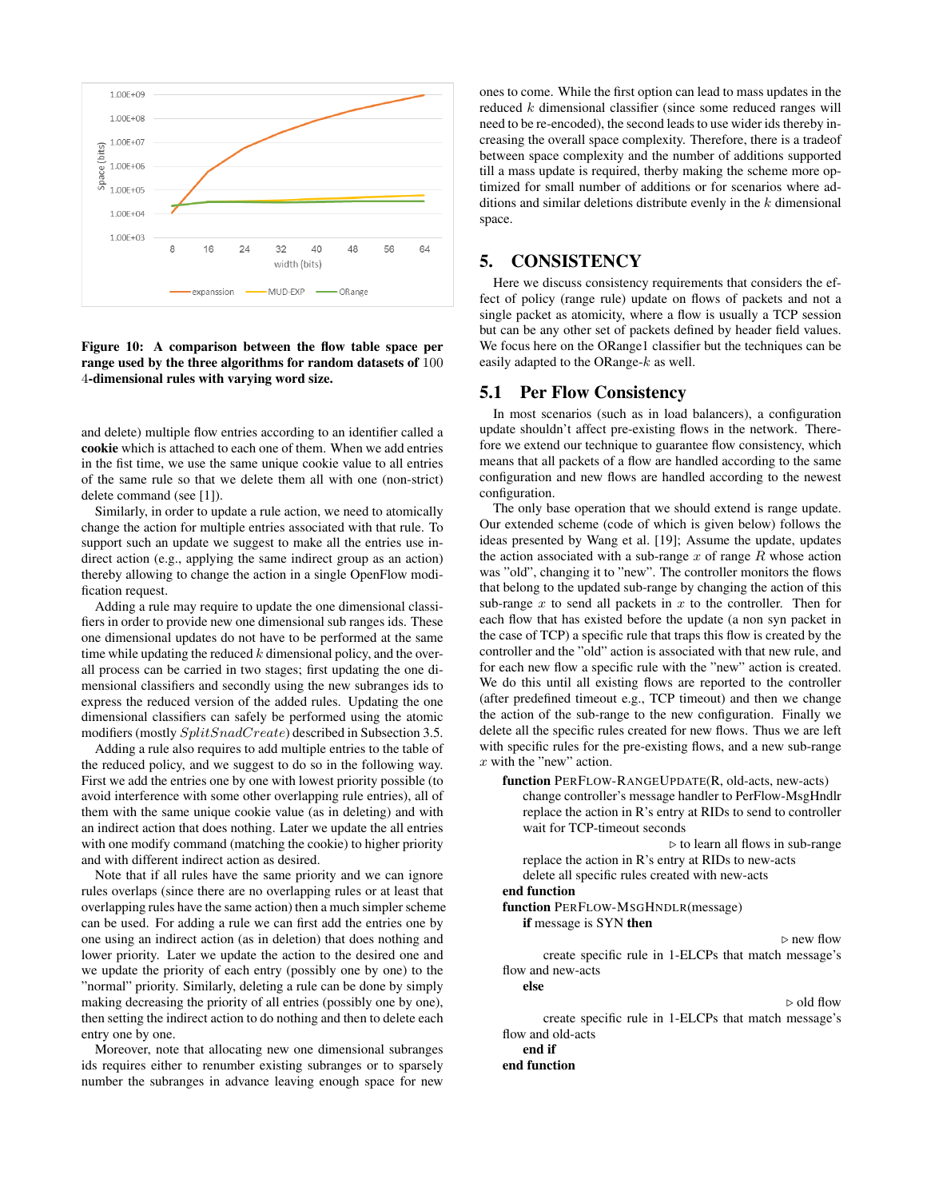

Figure 10: A comparison between the flow table space per range used by the three algorithms for random datasets of 100 4-dimensional rules with varying word size.

and delete) multiple flow entries according to an identifier called a cookie which is attached to each one of them. When we add entries in the fist time, we use the same unique cookie value to all entries of the same rule so that we delete them all with one (non-strict) delete command (see [1]).

Similarly, in order to update a rule action, we need to atomically change the action for multiple entries associated with that rule. To support such an update we suggest to make all the entries use indirect action (e.g., applying the same indirect group as an action) thereby allowing to change the action in a single OpenFlow modification request.

Adding a rule may require to update the one dimensional classifiers in order to provide new one dimensional sub ranges ids. These one dimensional updates do not have to be performed at the same time while updating the reduced  $k$  dimensional policy, and the overall process can be carried in two stages; first updating the one dimensional classifiers and secondly using the new subranges ids to express the reduced version of the added rules. Updating the one dimensional classifiers can safely be performed using the atomic modifiers (mostly  $SplitSnadCreate$ ) described in Subsection 3.5.

Adding a rule also requires to add multiple entries to the table of the reduced policy, and we suggest to do so in the following way. First we add the entries one by one with lowest priority possible (to avoid interference with some other overlapping rule entries), all of them with the same unique cookie value (as in deleting) and with an indirect action that does nothing. Later we update the all entries with one modify command (matching the cookie) to higher priority and with different indirect action as desired.

Note that if all rules have the same priority and we can ignore rules overlaps (since there are no overlapping rules or at least that overlapping rules have the same action) then a much simpler scheme can be used. For adding a rule we can first add the entries one by one using an indirect action (as in deletion) that does nothing and lower priority. Later we update the action to the desired one and we update the priority of each entry (possibly one by one) to the "normal" priority. Similarly, deleting a rule can be done by simply making decreasing the priority of all entries (possibly one by one), then setting the indirect action to do nothing and then to delete each entry one by one.

Moreover, note that allocating new one dimensional subranges ids requires either to renumber existing subranges or to sparsely number the subranges in advance leaving enough space for new ones to come. While the first option can lead to mass updates in the reduced k dimensional classifier (since some reduced ranges will need to be re-encoded), the second leads to use wider ids thereby increasing the overall space complexity. Therefore, there is a tradeof between space complexity and the number of additions supported till a mass update is required, therby making the scheme more optimized for small number of additions or for scenarios where additions and similar deletions distribute evenly in the k dimensional space.

### 5. CONSISTENCY

Here we discuss consistency requirements that considers the effect of policy (range rule) update on flows of packets and not a single packet as atomicity, where a flow is usually a TCP session but can be any other set of packets defined by header field values. We focus here on the ORange1 classifier but the techniques can be easily adapted to the ORange- $k$  as well.

#### 5.1 Per Flow Consistency

In most scenarios (such as in load balancers), a configuration update shouldn't affect pre-existing flows in the network. Therefore we extend our technique to guarantee flow consistency, which means that all packets of a flow are handled according to the same configuration and new flows are handled according to the newest configuration.

The only base operation that we should extend is range update. Our extended scheme (code of which is given below) follows the ideas presented by Wang et al. [19]; Assume the update, updates the action associated with a sub-range  $x$  of range  $R$  whose action was "old", changing it to "new". The controller monitors the flows that belong to the updated sub-range by changing the action of this sub-range  $x$  to send all packets in  $x$  to the controller. Then for each flow that has existed before the update (a non syn packet in the case of TCP) a specific rule that traps this flow is created by the controller and the "old" action is associated with that new rule, and for each new flow a specific rule with the "new" action is created. We do this until all existing flows are reported to the controller (after predefined timeout e.g., TCP timeout) and then we change the action of the sub-range to the new configuration. Finally we delete all the specific rules created for new flows. Thus we are left with specific rules for the pre-existing flows, and a new sub-range x with the "new" action.

function PERFLOW-RANGEUPDATE(R, old-acts, new-acts) change controller's message handler to PerFlow-MsgHndlr replace the action in R's entry at RIDs to send to controller wait for TCP-timeout seconds

 $\triangleright$  to learn all flows in sub-range replace the action in R's entry at RIDs to new-acts

delete all specific rules created with new-acts

### end function

function PERFLOW-MSGHNDLR(message)

if message is SYN then

 $\triangleright$  new flow

create specific rule in 1-ELCPs that match message's flow and new-acts

#### else

#### $\triangleright$  old flow

create specific rule in 1-ELCPs that match message's flow and old-acts

end if end function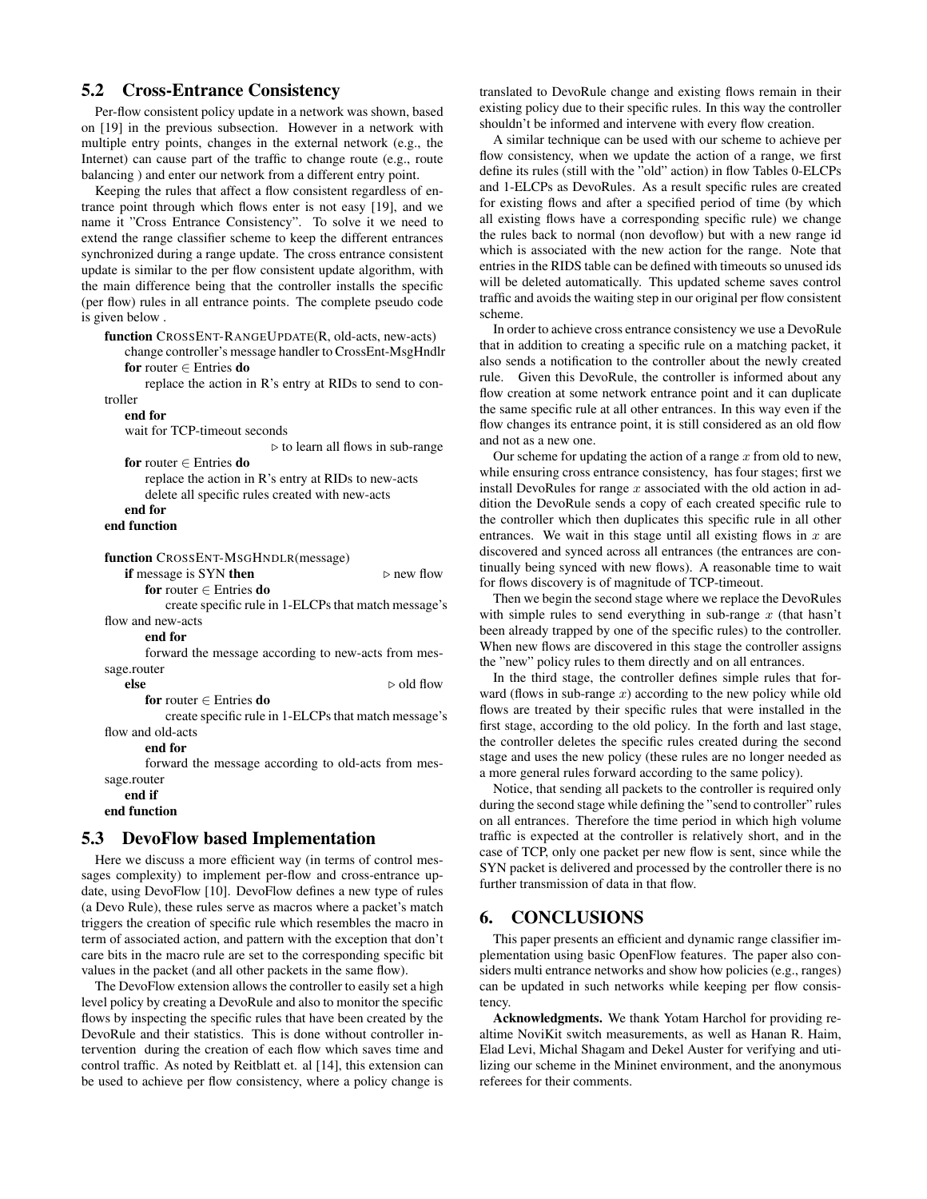### 5.2 Cross-Entrance Consistency

Per-flow consistent policy update in a network was shown, based on [19] in the previous subsection. However in a network with multiple entry points, changes in the external network (e.g., the Internet) can cause part of the traffic to change route (e.g., route balancing ) and enter our network from a different entry point.

Keeping the rules that affect a flow consistent regardless of entrance point through which flows enter is not easy [19], and we name it "Cross Entrance Consistency". To solve it we need to extend the range classifier scheme to keep the different entrances synchronized during a range update. The cross entrance consistent update is similar to the per flow consistent update algorithm, with the main difference being that the controller installs the specific (per flow) rules in all entrance points. The complete pseudo code is given below .

function CROSSENT-RANGEUPDATE(R, old-acts, new-acts) change controller's message handler to CrossEnt-MsgHndlr for router ∈ Entries do

replace the action in R's entry at RIDs to send to con-

troller end for

wait for TCP-timeout seconds

 $\triangleright$  to learn all flows in sub-range

for router ∈ Entries do replace the action in R's entry at RIDs to new-acts

delete all specific rules created with new-acts end for

end function

function CROSSENT-MSGHNDLR(message)

if message is SYN then  $\triangleright$  new flow for router ∈ Entries do

create specific rule in 1-ELCPs that match message's flow and new-acts

end for

forward the message according to new-acts from message.router

else  $\triangleright$  old flow

for router ∈ Entries do

create specific rule in 1-ELCPs that match message's flow and old-acts

end for

forward the message according to old-acts from message.router end if

end function

#### 5.3 DevoFlow based Implementation

Here we discuss a more efficient way (in terms of control messages complexity) to implement per-flow and cross-entrance update, using DevoFlow [10]. DevoFlow defines a new type of rules (a Devo Rule), these rules serve as macros where a packet's match triggers the creation of specific rule which resembles the macro in term of associated action, and pattern with the exception that don't care bits in the macro rule are set to the corresponding specific bit values in the packet (and all other packets in the same flow).

The DevoFlow extension allows the controller to easily set a high level policy by creating a DevoRule and also to monitor the specific flows by inspecting the specific rules that have been created by the DevoRule and their statistics. This is done without controller intervention during the creation of each flow which saves time and control traffic. As noted by Reitblatt et. al [14], this extension can be used to achieve per flow consistency, where a policy change is translated to DevoRule change and existing flows remain in their existing policy due to their specific rules. In this way the controller shouldn't be informed and intervene with every flow creation.

A similar technique can be used with our scheme to achieve per flow consistency, when we update the action of a range, we first define its rules (still with the "old" action) in flow Tables 0-ELCPs and 1-ELCPs as DevoRules. As a result specific rules are created for existing flows and after a specified period of time (by which all existing flows have a corresponding specific rule) we change the rules back to normal (non devoflow) but with a new range id which is associated with the new action for the range. Note that entries in the RIDS table can be defined with timeouts so unused ids will be deleted automatically. This updated scheme saves control traffic and avoids the waiting step in our original per flow consistent scheme.

In order to achieve cross entrance consistency we use a DevoRule that in addition to creating a specific rule on a matching packet, it also sends a notification to the controller about the newly created rule. Given this DevoRule, the controller is informed about any flow creation at some network entrance point and it can duplicate the same specific rule at all other entrances. In this way even if the flow changes its entrance point, it is still considered as an old flow and not as a new one.

Our scheme for updating the action of a range  $x$  from old to new, while ensuring cross entrance consistency, has four stages; first we install DevoRules for range  $x$  associated with the old action in addition the DevoRule sends a copy of each created specific rule to the controller which then duplicates this specific rule in all other entrances. We wait in this stage until all existing flows in  $x$  are discovered and synced across all entrances (the entrances are continually being synced with new flows). A reasonable time to wait for flows discovery is of magnitude of TCP-timeout.

Then we begin the second stage where we replace the DevoRules with simple rules to send everything in sub-range  $x$  (that hasn't been already trapped by one of the specific rules) to the controller. When new flows are discovered in this stage the controller assigns the "new" policy rules to them directly and on all entrances.

In the third stage, the controller defines simple rules that forward (flows in sub-range  $x$ ) according to the new policy while old flows are treated by their specific rules that were installed in the first stage, according to the old policy. In the forth and last stage, the controller deletes the specific rules created during the second stage and uses the new policy (these rules are no longer needed as a more general rules forward according to the same policy).

Notice, that sending all packets to the controller is required only during the second stage while defining the "send to controller" rules on all entrances. Therefore the time period in which high volume traffic is expected at the controller is relatively short, and in the case of TCP, only one packet per new flow is sent, since while the SYN packet is delivered and processed by the controller there is no further transmission of data in that flow.

#### 6. CONCLUSIONS

This paper presents an efficient and dynamic range classifier implementation using basic OpenFlow features. The paper also considers multi entrance networks and show how policies (e.g., ranges) can be updated in such networks while keeping per flow consistency.

Acknowledgments. We thank Yotam Harchol for providing realtime NoviKit switch measurements, as well as Hanan R. Haim, Elad Levi, Michal Shagam and Dekel Auster for verifying and utilizing our scheme in the Mininet environment, and the anonymous referees for their comments.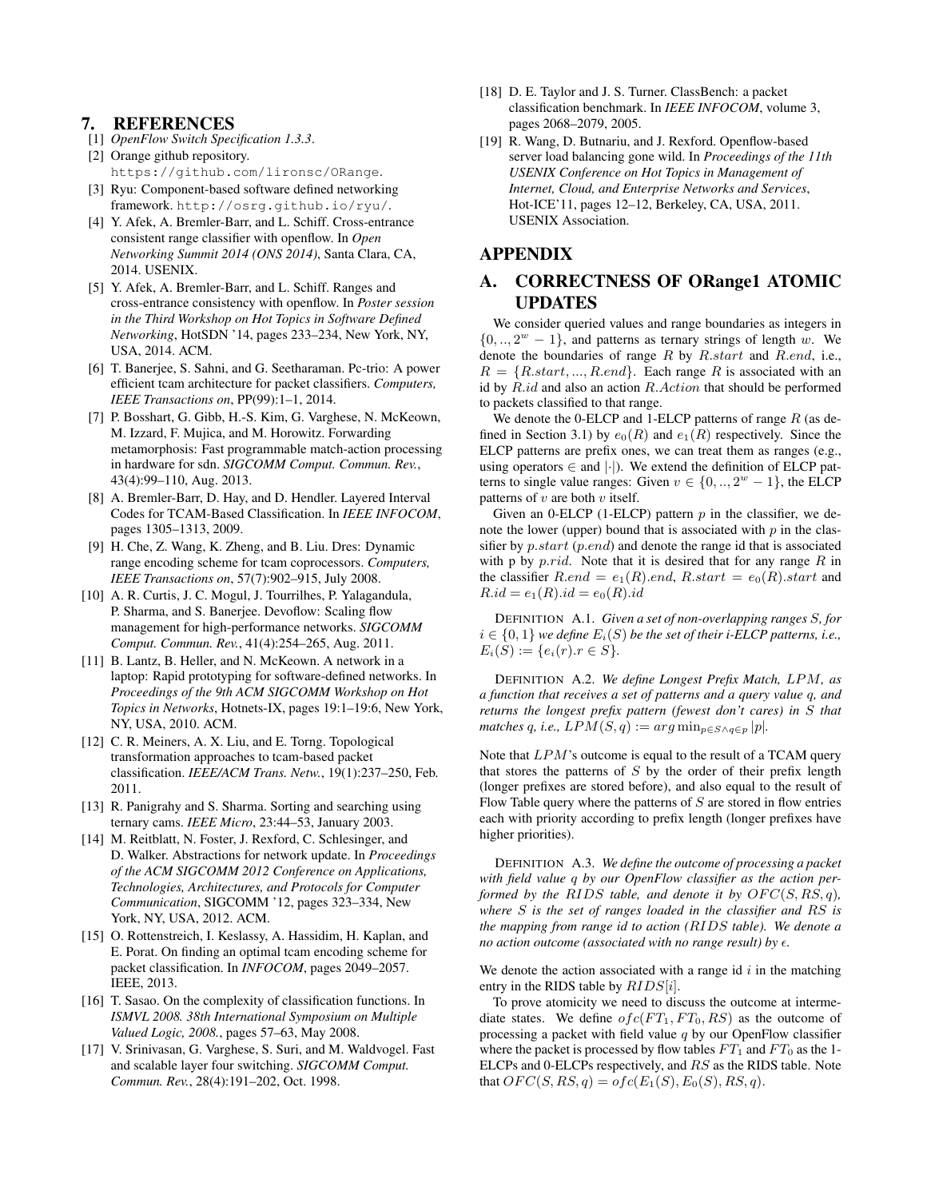### 7. REFERENCES

- [1] *OpenFlow Switch Specification 1.3.3*.
- [2] Orange github repository. https://github.com/lironsc/ORange.
- [3] Ryu: Component-based software defined networking framework. http://osrg.github.io/ryu/.
- [4] Y. Afek, A. Bremler-Barr, and L. Schiff. Cross-entrance consistent range classifier with openflow. In *Open Networking Summit 2014 (ONS 2014)*, Santa Clara, CA, 2014. USENIX.
- [5] Y. Afek, A. Bremler-Barr, and L. Schiff. Ranges and cross-entrance consistency with openflow. In *Poster session in the Third Workshop on Hot Topics in Software Defined Networking*, HotSDN '14, pages 233–234, New York, NY, USA, 2014. ACM.
- [6] T. Banerjee, S. Sahni, and G. Seetharaman. Pc-trio: A power efficient tcam architecture for packet classifiers. *Computers, IEEE Transactions on*, PP(99):1–1, 2014.
- [7] P. Bosshart, G. Gibb, H.-S. Kim, G. Varghese, N. McKeown, M. Izzard, F. Mujica, and M. Horowitz. Forwarding metamorphosis: Fast programmable match-action processing in hardware for sdn. *SIGCOMM Comput. Commun. Rev.*, 43(4):99–110, Aug. 2013.
- [8] A. Bremler-Barr, D. Hay, and D. Hendler. Layered Interval Codes for TCAM-Based Classification. In *IEEE INFOCOM*, pages 1305–1313, 2009.
- [9] H. Che, Z. Wang, K. Zheng, and B. Liu. Dres: Dynamic range encoding scheme for tcam coprocessors. *Computers, IEEE Transactions on*, 57(7):902–915, July 2008.
- [10] A. R. Curtis, J. C. Mogul, J. Tourrilhes, P. Yalagandula, P. Sharma, and S. Banerjee. Devoflow: Scaling flow management for high-performance networks. *SIGCOMM Comput. Commun. Rev.*, 41(4):254–265, Aug. 2011.
- [11] B. Lantz, B. Heller, and N. McKeown. A network in a laptop: Rapid prototyping for software-defined networks. In *Proceedings of the 9th ACM SIGCOMM Workshop on Hot Topics in Networks*, Hotnets-IX, pages 19:1–19:6, New York, NY, USA, 2010. ACM.
- [12] C. R. Meiners, A. X. Liu, and E. Torng. Topological transformation approaches to tcam-based packet classification. *IEEE/ACM Trans. Netw.*, 19(1):237–250, Feb. 2011.
- [13] R. Panigrahy and S. Sharma. Sorting and searching using ternary cams. *IEEE Micro*, 23:44–53, January 2003.
- [14] M. Reitblatt, N. Foster, J. Rexford, C. Schlesinger, and D. Walker. Abstractions for network update. In *Proceedings of the ACM SIGCOMM 2012 Conference on Applications, Technologies, Architectures, and Protocols for Computer Communication*, SIGCOMM '12, pages 323–334, New York, NY, USA, 2012. ACM.
- [15] O. Rottenstreich, I. Keslassy, A. Hassidim, H. Kaplan, and E. Porat. On finding an optimal tcam encoding scheme for packet classification. In *INFOCOM*, pages 2049–2057. IEEE, 2013.
- [16] T. Sasao. On the complexity of classification functions. In *ISMVL 2008. 38th International Symposium on Multiple Valued Logic, 2008.*, pages 57–63, May 2008.
- [17] V. Srinivasan, G. Varghese, S. Suri, and M. Waldvogel. Fast and scalable layer four switching. *SIGCOMM Comput. Commun. Rev.*, 28(4):191–202, Oct. 1998.
- [18] D. E. Taylor and J. S. Turner. ClassBench: a packet classification benchmark. In *IEEE INFOCOM*, volume 3, pages 2068–2079, 2005.
- [19] R. Wang, D. Butnariu, and J. Rexford. Openflow-based server load balancing gone wild. In *Proceedings of the 11th USENIX Conference on Hot Topics in Management of Internet, Cloud, and Enterprise Networks and Services*, Hot-ICE'11, pages 12–12, Berkeley, CA, USA, 2011. USENIX Association.

### APPENDIX

# A. CORRECTNESS OF ORange1 ATOMIC UPDATES

We consider queried values and range boundaries as integers in  $\{0, \ldots, 2^w - 1\}$ , and patterns as ternary strings of length w. We denote the boundaries of range  $R$  by  $R.start$  and  $R.end$ , i.e.,  $R = \{R.start, ..., R.end\}$ . Each range R is associated with an id by  $R.id$  and also an action  $R.Action$  that should be performed to packets classified to that range.

We denote the 0-ELCP and 1-ELCP patterns of range  $R$  (as defined in Section 3.1) by  $e_0(R)$  and  $e_1(R)$  respectively. Since the ELCP patterns are prefix ones, we can treat them as ranges (e.g., using operators  $\in$  and  $\lvert \cdot \rvert$ ). We extend the definition of ELCP patterns to single value ranges: Given  $v \in \{0,..,2^w-1\}$ , the ELCP patterns of  $v$  are both  $v$  itself.

Given an 0-ELCP (1-ELCP) pattern  $p$  in the classifier, we denote the lower (upper) bound that is associated with  $p$  in the classifier by  $p.start(p.end)$  and denote the range id that is associated with p by  $p.rid$ . Note that it is desired that for any range  $R$  in the classifier  $R.end = e_1(R) . end$ ,  $R.start = e_0(R) . start$  and  $R.id = e_1(R).id = e_0(R).id$ 

DEFINITION A.1. *Given a set of non-overlapping ranges* S*, for*  $i \in \{0,1\}$  *we define*  $E_i(S)$  *be the set of their i-ELCP patterns, i.e.,*  $E_i(S) := \{e_i(r).r \in S\}.$ 

DEFINITION A.2. *We define Longest Prefix Match,* LPM*, as a function that receives a set of patterns and a query value* q*, and returns the longest prefix pattern (fewest don't cares) in* S *that matches* q*, i.e.,*  $LPM(S, q) := arg \min_{p \in S \land q \in p} |p|$ .

Note that  $LPM$ 's outcome is equal to the result of a TCAM query that stores the patterns of  $S$  by the order of their prefix length (longer prefixes are stored before), and also equal to the result of Flow Table query where the patterns of  $S$  are stored in flow entries each with priority according to prefix length (longer prefixes have higher priorities).

DEFINITION A.3. *We define the outcome of processing a packet with field value* q *by our OpenFlow classifier as the action performed by the RIDS table, and denote it by*  $OFC(S, RS, q)$ *, where* S *is the set of ranges loaded in the classifier and* RS *is the mapping from range id to action (*RIDS *table). We denote a no action outcome (associated with no range result) by*  $\epsilon$ *.* 

We denote the action associated with a range id  $i$  in the matching entry in the RIDS table by  $RIDS[i]$ .

To prove atomicity we need to discuss the outcome at intermediate states. We define  $of c(FT_1, FT_0, RS)$  as the outcome of processing a packet with field value  $q$  by our OpenFlow classifier where the packet is processed by flow tables  $FT_1$  and  $FT_0$  as the 1-ELCPs and 0-ELCPs respectively, and RS as the RIDS table. Note that  $OFC(S, RS, q) = ofc(E<sub>1</sub>(S), E<sub>0</sub>(S), RS, q).$